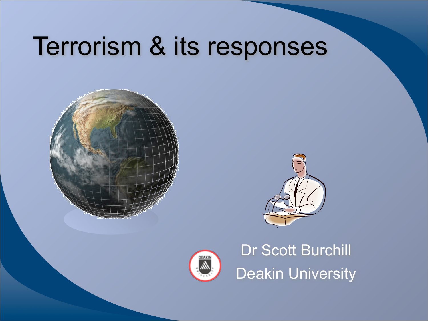# Terrorism & its responses







Dr Scott Burchill Deakin University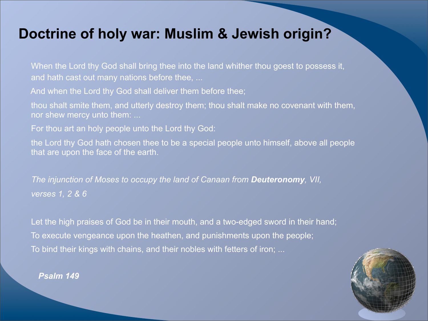# **Doctrine of holy war: Muslim & Jewish origin?**

When the Lord thy God shall bring thee into the land whither thou goest to possess it, and hath cast out many nations before thee, ...

And when the Lord thy God shall deliver them before thee;

thou shalt smite them, and utterly destroy them; thou shalt make no covenant with them, nor shew mercy unto them: ...

For thou art an holy people unto the Lord thy God:

the Lord thy God hath chosen thee to be a special people unto himself, above all people that are upon the face of the earth.

 *The injunction of Moses to occupy the land of Canaan from Deuteronomy, VII, verses 1, 2 & 6*

Let the high praises of God be in their mouth, and a two-edged sword in their hand; To execute vengeance upon the heathen, and punishments upon the people; To bind their kings with chains, and their nobles with fetters of iron; ...



*Psalm 149*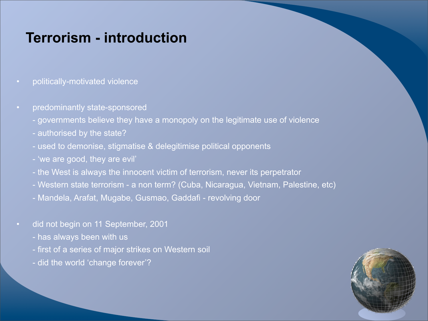### **Terrorism - introduction**

- politically-motivated violence
- predominantly state-sponsored
	- governments believe they have a monopoly on the legitimate use of violence
	- authorised by the state?
	- used to demonise, stigmatise & delegitimise political opponents
	- 'we are good, they are evil'
	- the West is always the innocent victim of terrorism, never its perpetrator
	- Western state terrorism a non term? (Cuba, Nicaragua, Vietnam, Palestine, etc)
	- Mandela, Arafat, Mugabe, Gusmao, Gaddafi revolving door
- did not begin on 11 September, 2001
	- has always been with us
	- first of a series of major strikes on Western soil
	- did the world 'change forever'?

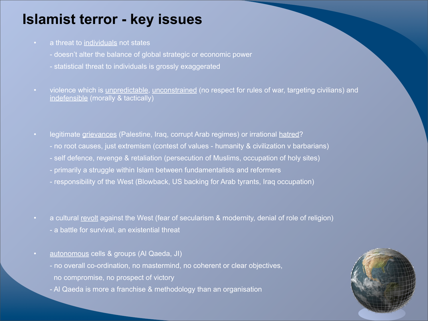# **Islamist terror - key issues**

- a threat to individuals not states
	- doesn't alter the balance of global strategic or economic power
	- statistical threat to individuals is grossly exaggerated
- violence which is unpredictable, unconstrained (no respect for rules of war, targeting civilians) and indefensible (morally & tactically)
- legitimate grievances (Palestine, Iraq, corrupt Arab regimes) or irrational hatred? - no root causes, just extremism (contest of values - humanity & civilization v barbarians) - self defence, revenge & retaliation (persecution of Muslims, occupation of holy sites) - primarily a struggle within Islam between fundamentalists and reformers - responsibility of the West (Blowback, US backing for Arab tyrants, Iraq occupation)
- a cultural revolt against the West (fear of secularism & modernity, denial of role of religion)
	- a battle for survival, an existential threat
- autonomous cells & groups (Al Qaeda, JI)
	- no overall co-ordination, no mastermind, no coherent or clear objectives, no compromise, no prospect of victory
	- Al Qaeda is more a franchise & methodology than an organisation

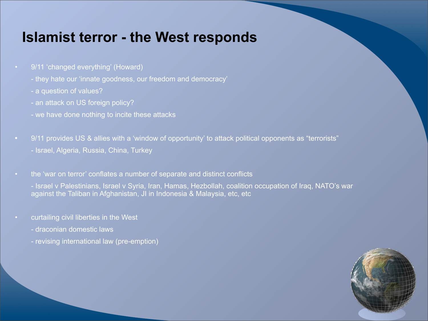#### **Islamist terror - the West responds**

- 9/11 'changed everything' (Howard)
	- they hate our 'innate goodness, our freedom and democracy'
	- a question of values?
	- an attack on US foreign policy?
	- we have done nothing to incite these attacks
- 9/11 provides US & allies with a 'window of opportunity' to attack political opponents as "terrorists" - Israel, Algeria, Russia, China, Turkey
- the 'war on terror' conflates a number of separate and distinct conflicts
	- Israel v Palestinians, Israel v Syria, Iran, Hamas, Hezbollah, coalition occupation of Iraq, NATO's war against the Taliban in Afghanistan, JI in Indonesia & Malaysia, etc, etc
- curtailing civil liberties in the West
	- draconian domestic laws
	- revising international law (pre-emption)

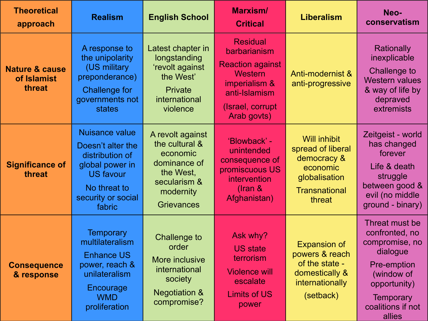| <b>Theoretical</b><br>approach                     | <b>Realism</b>                                                                                                                                       | <b>English School</b>                                                                                                         | <b>Marxism/</b><br><b>Critical</b>                                                                                                         | <b>Liberalism</b>                                                                                                      | Neo-<br>conservatism                                                                                                                                           |
|----------------------------------------------------|------------------------------------------------------------------------------------------------------------------------------------------------------|-------------------------------------------------------------------------------------------------------------------------------|--------------------------------------------------------------------------------------------------------------------------------------------|------------------------------------------------------------------------------------------------------------------------|----------------------------------------------------------------------------------------------------------------------------------------------------------------|
| <b>Nature &amp; cause</b><br>of Islamist<br>threat | A response to<br>the unipolarity<br>(US military<br>preponderance)<br><b>Challenge for</b><br>governments not<br>states                              | Latest chapter in<br>longstanding<br>'revolt against<br>the West'<br><b>Private</b><br>international<br>violence              | <b>Residual</b><br>barbarianism<br><b>Reaction against</b><br>Western<br>imperialism &<br>anti-Islamism<br>(Israel, corrupt<br>Arab govts) | Anti-modernist &<br>anti-progressive                                                                                   | Rationally<br>inexplicable<br>Challenge to<br><b>Western values</b><br>& way of life by<br>depraved<br>extremists                                              |
| <b>Significance of</b><br>threat                   | <b>Nuisance value</b><br>Doesn't alter the<br>distribution of<br>global power in<br><b>US favour</b><br>No threat to<br>security or social<br>fabric | A revolt against<br>the cultural &<br>economic<br>dominance of<br>the West,<br>secularism &<br>modernity<br><b>Grievances</b> | 'Blowback' -<br>unintended<br>consequence of<br>promiscuous US<br>intervention<br>$($ Iran &<br>Afghanistan)                               | <b>Will inhibit</b><br>spread of liberal<br>democracy &<br>economic<br>globalisation<br><b>Transnational</b><br>threat | Zeitgeist - world<br>has changed<br>forever<br>Life & death<br>struggle<br>between good &<br>evil (no middle<br>ground - binary)                               |
| <b>Consequence</b><br>& response                   | <b>Temporary</b><br>multilateralism<br><b>Enhance US</b><br>power, reach &<br>unilateralism<br>Encourage<br><b>WMD</b><br>proliferation              | <b>Challenge to</b><br>order<br><b>More inclusive</b><br>international<br>society<br><b>Negotiation &amp;</b><br>compromise?  | Ask why?<br><b>US state</b><br>terrorism<br><b>Violence will</b><br>escalate<br><b>Limits of US</b><br>power                               | <b>Expansion of</b><br>powers & reach<br>of the state -<br>domestically &<br>internationally<br>(setback)              | Threat must be<br>confronted, no<br>compromise, no<br>dialogue<br>Pre-emption<br>(window of<br>opportunity)<br><b>Temporary</b><br>coalitions if not<br>allies |